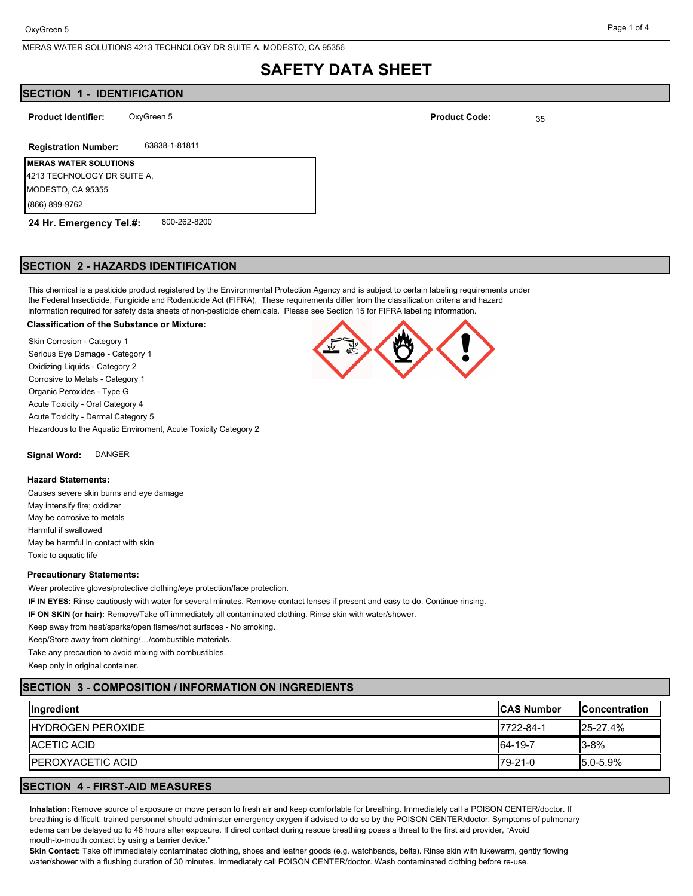# **SAFETY DATA SHEET**

# **SECTION 1 - IDENTIFICATION**

**Product Identifier:** OxyGreen 5 0.000 35 0.000 35 0.000 35 0.000 35 0.000 35 0.000 35 0.000 35 0.000 35 0.000 35

**Registration Number:** 63838-1-81811

**MERAS WATER SOLUTIONS** 

4213 TECHNOLOGY DR SUITE A, MODESTO, CA 95355 (866) 899-9762

**24 Hr. Emergency Tel.#:** 800-262-8200

## **SECTION 2 - HAZARDS IDENTIFICATION**

This chemical is a pesticide product registered by the Environmental Protection Agency and is subject to certain labeling requirements under the Federal Insecticide, Fungicide and Rodenticide Act (FIFRA), These requirements differ from the classification criteria and hazard information required for safety data sheets of non-pesticide chemicals. Please see Section 15 for FIFRA labeling information.

#### **Classification of the Substance or Mixture:**

Skin Corrosion - Category 1 Serious Eye Damage - Category 1 Oxidizing Liquids - Category 2 Corrosive to Metals - Category 1 Organic Peroxides - Type G Acute Toxicity - Oral Category 4 Acute Toxicity - Dermal Category 5 Hazardous to the Aquatic Enviroment, Acute Toxicity Category 2

**Signal Word:** DANGER

#### **Hazard Statements:**

Causes severe skin burns and eye damage May intensify fire; oxidizer May be corrosive to metals Harmful if swallowed May be harmful in contact with skin Toxic to aquatic life

#### **Precautionary Statements:**

Wear protective gloves/protective clothing/eye protection/face protection.

**IF IN EYES:** Rinse cautiously with water for several minutes. Remove contact lenses if present and easy to do. Continue rinsing.

**IF ON SKIN (or hair):** Remove/Take off immediately all contaminated clothing. Rinse skin with water/shower.

Keep away from heat/sparks/open flames/hot surfaces - No smoking.

Keep/Store away from clothing/…/combustible materials.

Take any precaution to avoid mixing with combustibles.

Keep only in original container.

# **SECTION 3 - COMPOSITION / INFORMATION ON INGREDIENTS**

| Ingredient                | <b>ICAS Number</b> | <b>IConcentration</b> |
|---------------------------|--------------------|-----------------------|
| <b>IHYDROGEN PEROXIDE</b> | 17722-84-1         | $125 - 27.4%$         |
| <b>IACETIC ACID</b>       | $164 - 19 - 7$     | $13 - 8%$             |
| <b>IPEROXYACETIC ACID</b> | 79-21-0            | $15.0 - 5.9%$         |

# **SECTION 4 - FIRST-AID MEASURES**

**Inhalation:** Remove source of exposure or move person to fresh air and keep comfortable for breathing. Immediately call a POISON CENTER/doctor. If breathing is difficult, trained personnel should administer emergency oxygen if advised to do so by the POISON CENTER/doctor. Symptoms of pulmonary edema can be delayed up to 48 hours after exposure. If direct contact during rescue breathing poses a threat to the first aid provider, "Avoid mouth-to-mouth contact by using a barrier device."

**Skin Contact:** Take off immediately contaminated clothing, shoes and leather goods (e.g. watchbands, belts). Rinse skin with lukewarm, gently flowing water/shower with a flushing duration of 30 minutes. Immediately call POISON CENTER/doctor. Wash contaminated clothing before re-use.



**Product Code:**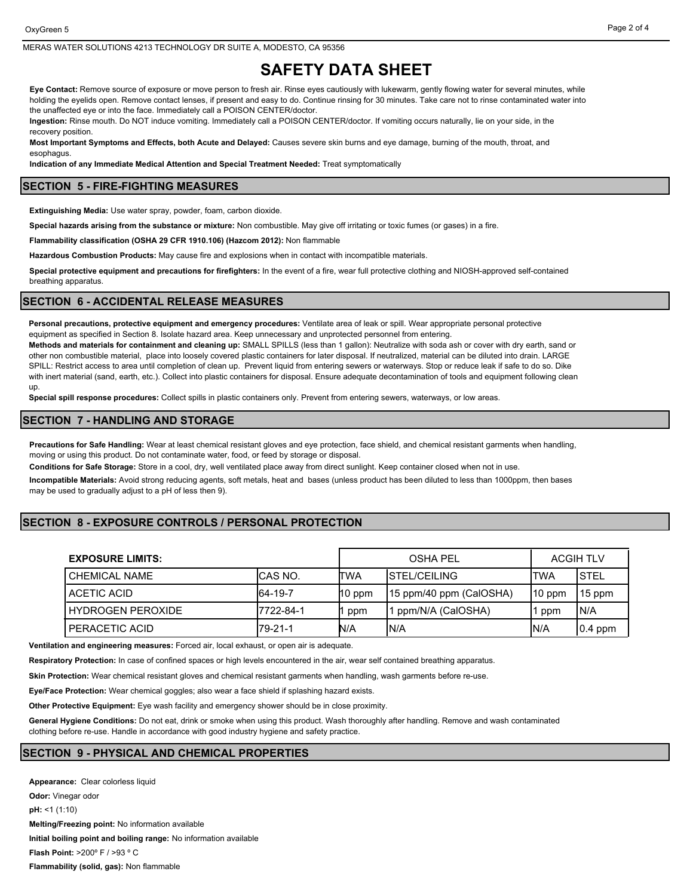#### MERAS WATER SOLUTIONS 4213 TECHNOLOGY DR SUITE A, MODESTO, CA 95356

# **SAFETY DATA SHEET**

**Eye Contact:** Remove source of exposure or move person to fresh air. Rinse eyes cautiously with lukewarm, gently flowing water for several minutes, while holding the eyelids open. Remove contact lenses, if present and easy to do. Continue rinsing for 30 minutes. Take care not to rinse contaminated water into the unaffected eye or into the face. Immediately call a POISON CENTER/doctor.

**Ingestion:** Rinse mouth. Do NOT induce vomiting. Immediately call a POISON CENTER/doctor. If vomiting occurs naturally, lie on your side, in the recovery position.

**Most Important Symptoms and Effects, both Acute and Delayed:** Causes severe skin burns and eye damage, burning of the mouth, throat, and esophagus

**Indication of any Immediate Medical Attention and Special Treatment Needed:** Treat symptomatically

#### **SECTION 5 - FIRE-FIGHTING MEASURES**

**Extinguishing Media:** Use water spray, powder, foam, carbon dioxide.

**Special hazards arising from the substance or mixture:** Non combustible. May give off irritating or toxic fumes (or gases) in a fire.

**Flammability classification (OSHA 29 CFR 1910.106) (Hazcom 2012):** Non flammable

**Hazardous Combustion Products:** May cause fire and explosions when in contact with incompatible materials.

**Special protective equipment and precautions for firefighters:** In the event of a fire, wear full protective clothing and NIOSH-approved self-contained breathing apparatus.

### **SECTION 6 - ACCIDENTAL RELEASE MEASURES**

**Personal precautions, protective equipment and emergency procedures:** Ventilate area of leak or spill. Wear appropriate personal protective equipment as specified in Section 8. Isolate hazard area. Keep unnecessary and unprotected personnel from entering.

**Methods and materials for containment and cleaning up:** SMALL SPILLS (less than 1 gallon): Neutralize with soda ash or cover with dry earth, sand or other non combustible material, place into loosely covered plastic containers for later disposal. If neutralized, material can be diluted into drain. LARGE SPILL: Restrict access to area until completion of clean up. Prevent liquid from entering sewers or waterways. Stop or reduce leak if safe to do so. Dike with inert material (sand, earth, etc.). Collect into plastic containers for disposal. Ensure adequate decontamination of tools and equipment following clean up.

**Special spill response procedures:** Collect spills in plastic containers only. Prevent from entering sewers, waterways, or low areas.

### **SECTION 7 - HANDLING AND STORAGE**

**Precautions for Safe Handling:** Wear at least chemical resistant gloves and eye protection, face shield, and chemical resistant garments when handling, moving or using this product. Do not contaminate water, food, or feed by storage or disposal.

**Conditions for Safe Storage:** Store in a cool, dry, well ventilated place away from direct sunlight. Keep container closed when not in use.

**Incompatible Materials:** Avoid strong reducing agents, soft metals, heat and bases (unless product has been diluted to less than 1000ppm, then bases may be used to gradually adjust to a pH of less then 9).

# **SECTION 8 - EXPOSURE CONTROLS / PERSONAL PROTECTION**

| <b>OSHA PEL</b><br><b>EXPOSURE LIMITS:</b> |            | <b>ACGIH TLV</b> |                         |          |             |
|--------------------------------------------|------------|------------------|-------------------------|----------|-------------|
| I CHEMICAL NAME                            | ICAS NO.   | ITWA             | <b>ISTEL/CEILING</b>    | ITWA     | <b>STEL</b> |
| I ACETIC ACID                              | 64-19-7    | $10$ ppm         | 15 ppm/40 ppm (CalOSHA) | $10$ ppm | 15 ppm      |
| l HYDROGEN PEROXIDE                        | 17722-84-1 | l ppm            | ppm/N/A (CalOSHA)       | ppm      | N/A         |
| I PERACETIC ACID                           | 79-21-1    | N/A              | IN/A                    | IN/A     | $10.4$ ppm  |

**Ventilation and engineering measures:** Forced air, local exhaust, or open air is adequate.

**Respiratory Protection:** In case of confined spaces or high levels encountered in the air, wear self contained breathing apparatus.

**Skin Protection:** Wear chemical resistant gloves and chemical resistant garments when handling, wash garments before re-use.

**Eye/Face Protection:** Wear chemical goggles; also wear a face shield if splashing hazard exists.

**Other Protective Equipment:** Eye wash facility and emergency shower should be in close proximity.

**General Hygiene Conditions:** Do not eat, drink or smoke when using this product. Wash thoroughly after handling. Remove and wash contaminated clothing before re-use. Handle in accordance with good industry hygiene and safety practice.

## **SECTION 9 - PHYSICAL AND CHEMICAL PROPERTIES**

**Appearance:** Clear colorless liquid **Odor:** Vinegar odor **pH:** <1 (1:10) **Melting/Freezing point:** No information available **Initial boiling point and boiling range:** No information available **Flash Point:** >200º F / >93 º C **Flammability (solid, gas):** Non flammable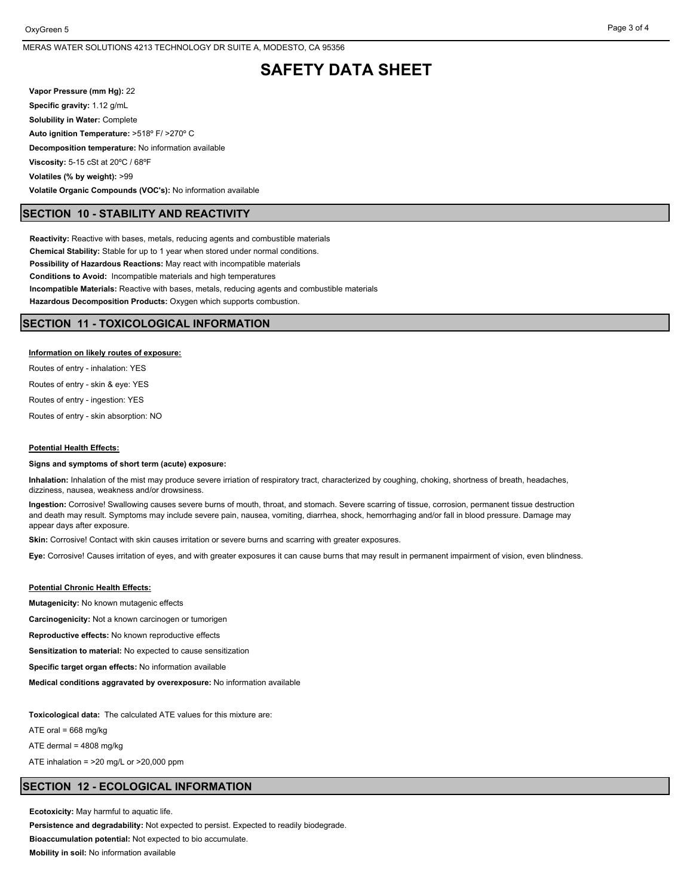# **SAFETY DATA SHEET**

**Vapor Pressure (mm Hg):** 22 **Specific gravity:** 1.12 g/mL **Solubility in Water:** Complete **Auto ignition Temperature:** >518º F/ >270º C **Decomposition temperature:** No information available **Viscosity:** 5-15 cSt at 20ºC / 68ºF **Volatiles (% by weight):** >99 **Volatile Organic Compounds (VOC's):** No information available

# **SECTION 10 - STABILITY AND REACTIVITY**

**Reactivity:** Reactive with bases, metals, reducing agents and combustible materials **Chemical Stability:** Stable for up to 1 year when stored under normal conditions. **Possibility of Hazardous Reactions:** May react with incompatible materials **Conditions to Avoid:** Incompatible materials and high temperatures **Incompatible Materials:** Reactive with bases, metals, reducing agents and combustible materials **Hazardous Decomposition Products:** Oxygen which supports combustion.

# **SECTION 11 - TOXICOLOGICAL INFORMATION**

### **Information on likely routes of exposure:**

Routes of entry - inhalation: YES

Routes of entry - skin & eye: YES

Routes of entry - ingestion: YES

Routes of entry - skin absorption: NO

#### **Potential Health Effects:**

#### **Signs and symptoms of short term (acute) exposure:**

**Inhalation:** Inhalation of the mist may produce severe irriation of respiratory tract, characterized by coughing, choking, shortness of breath, headaches, dizziness, nausea, weakness and/or drowsiness.

**Ingestion:** Corrosive! Swallowing causes severe burns of mouth, throat, and stomach. Severe scarring of tissue, corrosion, permanent tissue destruction and death may result. Symptoms may include severe pain, nausea, vomiting, diarrhea, shock, hemorrhaging and/or fall in blood pressure. Damage may appear days after exposure.

**Skin:** Corrosive! Contact with skin causes irritation or severe burns and scarring with greater exposures.

**Eye:** Corrosive! Causes irritation of eyes, and with greater exposures it can cause burns that may result in permanent impairment of vision, even blindness.

#### **Potential Chronic Health Effects:**

**Mutagenicity:** No known mutagenic effects

**Carcinogenicity:** Not a known carcinogen or tumorigen

**Reproductive effects:** No known reproductive effects

**Sensitization to material:** No expected to cause sensitization

**Specific target organ effects:** No information available

**Medical conditions aggravated by overexposure:** No information available

**Toxicological data:** The calculated ATE values for this mixture are:

ATE oral =  $668$  mg/kg

ATE dermal = 4808 mg/kg

ATE inhalation =  $>20$  mg/L or  $>20,000$  ppm

### **SECTION 12 - ECOLOGICAL INFORMATION**

**Ecotoxicity:** May harmful to aquatic life.

**Persistence and degradability:** Not expected to persist. Expected to readily biodegrade. **Bioaccumulation potential:** Not expected to bio accumulate. **Mobility in soil:** No information available